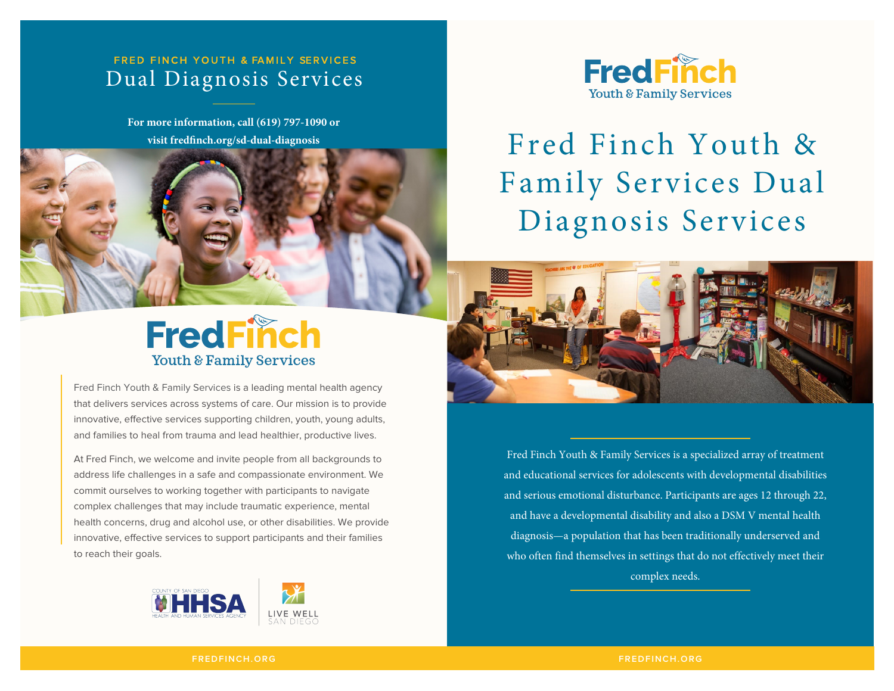### FRED FINCH YOUTH & FAMILY SERVICES Dual Diagnosis Services

**For more information, call (619) 797-1090 or** 



Fred Finch Youth & Family Services is a leading mental health agency that delivers services across systems of care. Our mission is to provide innovative, effective services supporting children, youth, young adults, and families to heal from trauma and lead healthier, productive lives.

At Fred Finch, we welcome and invite people from all backgrounds to address life challenges in a safe and compassionate environment. We commit ourselves to working together with participants to navigate complex challenges that may include traumatic experience, mental health concerns, drug and alcohol use, or other disabilities. We provide innovative, effective services to support participants and their families to reach their goals.





# **visit fredfinch.org/sd-dual-diagnosis** Fred Finch Youth & Family Services Dual Diagnosis Services



Fred Finch Youth & Family Services is a specialized array of treatment and educational services for adolescents with developmental disabilities and serious emotional disturbance. Participants are ages 12 through 22, and have a developmental disability and also a DSM V mental health diagnosis—a population that has been traditionally underserved and who often find themselves in settings that do not effectively meet their complex needs.

**FREDFINCH.ORG**